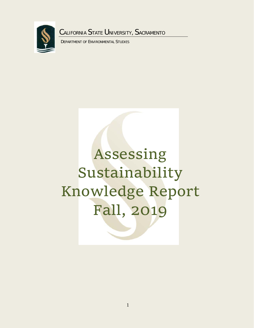

DEPARTMENT OF ENVIRONMENTAL STUDIES

# Assessing Sustainability Knowledge Report Fall, 2019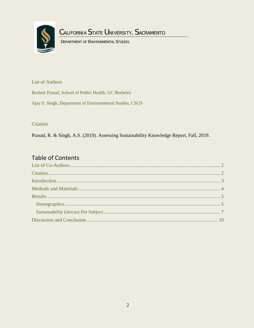

DEPARTMENT OF ENVIRONMENTAL STUDIES

<span id="page-1-0"></span>**List of Authors** 

Reshmi Prasad, School of Public Health, UC Berkeley

Ajay S. Singh, Department of Environmental Studies, CSUS

<span id="page-1-1"></span>Citation

Prasad, R. & Singh, A.S. (2019). Assessing Sustainability Knowledge Report, Fall, 2019.

## **Table of Contents**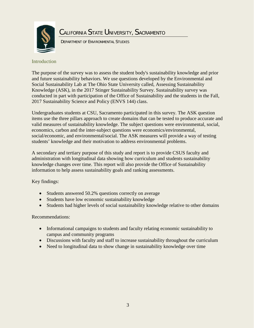

DEPARTMENT OF ENVIRONMENTAL STUDIES

### <span id="page-2-0"></span>Introduction

The purpose of the survey was to assess the student body's sustainability knowledge and prior and future sustainability behaviors. We use questions developed by the Environmental and Social Sustainability Lab at The Ohio State University called, Assessing Sustainability Knowledge (ASK), in the 2017 Stinger Sustainability Survey. Sustainability survey was conducted in part with participation of the Office of Sustainability and the students in the Fall, 2017 Sustainability Science and Policy (ENVS 144) class.

Undergraduates students at CSU, Sacramento participated in this survey. The ASK question items use the three pillars approach to create domains that can be tested to produce accurate and valid measures of sustainability knowledge. The subject questions were environmental, social, economics, carbon and the inter-subject questions were economics/environmental, social/economic, and environmental/social. The ASK measures will provide a way of testing students' knowledge and their motivation to address environmental problems.

A secondary and tertiary purpose of this study and report is to provide CSUS faculty and administration with longitudinal data showing how curriculum and students sustainability knowledge changes over time. This report will also provide the Office of Sustainability information to help assess sustainability goals and ranking assessments.

Key findings:

- Students answered 50.2% questions correctly on average
- Students have low economic sustainability knowledge
- Students had higher levels of social sustainability knowledge relative to other domains

## Recommendations:

- Informational campaigns to students and faculty relating economic sustainability to campus and community programs
- Discussions with faculty and staff to increase sustainability throughout the curriculum
- <span id="page-2-1"></span>• Need to longitudinal data to show change in sustainability knowledge over time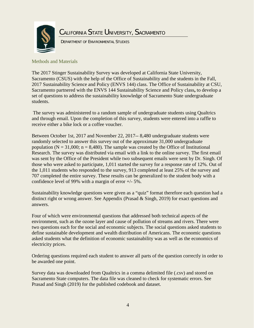

DEPARTMENT OF ENVIRONMENTAL STUDIES

Methods and Materials

The 2017 Stinger Sustainability Survey was developed at California State University, Sacramento (CSUS) with the help of the Office of Sustainability and the students in the Fall, 2017 Sustainability Science and Policy (ENVS 144) class. The Office of Sustainability at CSU, Sacramento partnered with the ENVS 144 Sustainability Science and Policy class**,** to develop a set of questions to address the sustainability knowledge of Sacramento State undergraduate students.

The survey was administered to a random sample of undergraduate students using Qualtrics and through email. Upon the completion of this survey, students were entered into a raffle to receive either a bike lock or a coffee voucher.

Between October 1st, 2017 and November 22, 2017-- 8,480 undergraduate students were randomly selected to answer this survey out of the approximate 31,000 undergraduate population ( $N = 31,000$ ;  $n = 8,480$ ). The sample was created by the Office of Institutional Research. The survey was distributed via email with a link to the online survey. The first email was sent by the Office of the President while two subsequent emails were sent by Dr. Singh. Of those who were asked to participate, 1,011 started the survey for a response rate of 12%. Out of the 1,011 students who responded to the survey, 913 completed at least 25% of the survey and 707 completed the entire survey. These results can be generalized to the student body with a confidence level of 99% with a margin of error +/- 5%.

Sustainability knowledge questions were given as a "quiz" format therefore each question had a distinct right or wrong answer. See Appendix (Prasad & Singh, 2019) for exact questions and answers.

Four of which were environmental questions that addressed both technical aspects of the environment, such as the ozone layer and cause of pollution of streams and rivers. There were two questions each for the social and economic subjects. The social questions asked students to define sustainable development and wealth distribution of Americans. The economic questions asked students what the definition of economic sustainability was as well as the economics of electricity prices.

Ordering questions required each student to answer all parts of the question correctly in order to be awarded one point.

<span id="page-3-0"></span>Survey data was downloaded from Qualtrics in a comma delimited file (.csv) and stored on Sacramento State computers. The data file was cleaned to check for systematic errors. See Prasad and Singh (2019) for the published codebook and dataset.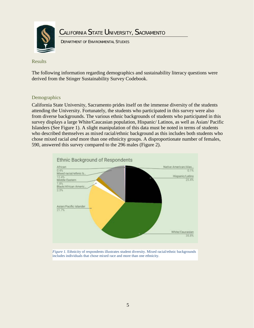

DEPARTMENT OF ENVIRONMENTAL STUDIES

Results

The following information regarding demographics and sustainability literacy questions were derived from the Stinger Sustainability Survey Codebook.

#### <span id="page-4-0"></span>Demographics

California State University, Sacramento prides itself on the immense diversity of the students attending the University. Fortunately, the students who participated in this survey were also from diverse backgrounds. The various ethnic backgrounds of students who participated in this survey displays a large White/Caucasian population, Hispanic/ Latinos, as well as Asian/ Pacific Islanders (See Figure 1). A slight manipulation of this data must be noted in terms of students who described themselves as mixed racial/ethnic background as this includes both students who chose mixed racial *and* more than one ethnicity groups. A disproportionate number of females, 590, answered this survey compared to the 296 males (Figure 2).



*Figure 1.* Ethnicity of respondents illustrates student diversity. Mixed racial/ethnic backgrounds includes individuals that chose mixed race and more than one ethnicity.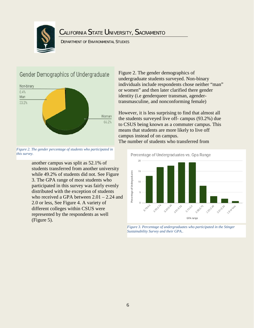

DEPARTMENT OF ENVIRONMENTAL STUDIES

## Gender Demographics of Undergraduate



*Figure 2. The gender percentage of students who participated in this survey.*

another campus was split as 52.1% of students transferred from another university while 49.2% of students did not. See Figure 3. The GPA range of most students who participated in this survey was fairly evenly distributed with the exception of students who received a GPA between 2.01 – 2.24 and 2.0 or less, See Figure 4. A variety of different colleges within CSUS were represented by the respondents as well (Figure 5).

Figure 2. The gender demographics of undergraduate students surveyed. Non-binary individuals include respondents chose neither "man" or women" and then later clarified there gender identity (i.e genderqueer transman, agendertransmasculine, and nonconforming female)

However, it is less surprising to find that almost all the students surveyed live off- campus (93.2%) due to CSUS being known as a commuter campus. This means that students are more likely to live off campus instead of on campus. The number of students who transferred from



*Figure 3. Percentage of undergraduates who participated in the Stinger Sustainability Survey and their GPA..*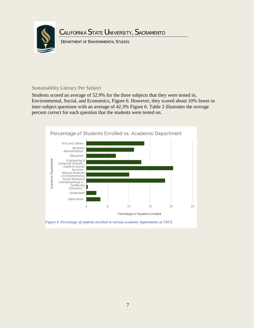

DEPARTMENT OF ENVIRONMENTAL STUDIES

#### <span id="page-6-0"></span>Sustainability Literacy Per Subject

Students scored an average of 52.9% for the three subjects that they were tested in, Environmental, Social, and Economics, Figure 6. However, they scored about 10% lower in inter-subject questions with an average of 42.3% Figure 6. Table 2 illustrates the average percent correct for each question that the students were tested on.

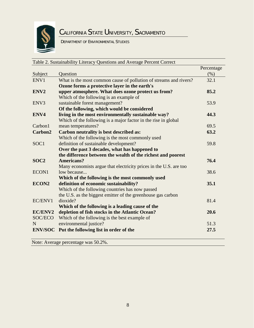

DEPARTMENT OF ENVIRONMENTAL STUDIES

| Table 2. Sustainability Literacy Questions and Average Percent Correct |                                                                   |            |  |
|------------------------------------------------------------------------|-------------------------------------------------------------------|------------|--|
|                                                                        |                                                                   | Percentage |  |
| Subject                                                                | Question                                                          | (% )       |  |
| ENV1                                                                   | What is the most common cause of pollution of streams and rivers? | 32.1       |  |
|                                                                        | Ozone forms a protective layer in the earth's                     |            |  |
| ENV2                                                                   | upper atmosphere. What does ozone protect us from?                | 85.2       |  |
|                                                                        | Which of the following is an example of                           |            |  |
| ENV <sub>3</sub>                                                       | sustainable forest management?                                    | 53.9       |  |
|                                                                        | Of the following, which would be considered                       |            |  |
| ENV4                                                                   | living in the most environmentally sustainable way?               | 44.3       |  |
|                                                                        | Which of the following is a major factor in the rise in global    |            |  |
| Carbon1                                                                | mean temperatures?                                                | 69.5       |  |
| Carbon2                                                                | Carbon neutrality is best described as:                           | 63.2       |  |
|                                                                        | Which of the following is the most commonly used                  |            |  |
| SOC <sub>1</sub>                                                       | definition of sustainable development?                            | 59.8       |  |
|                                                                        | Over the past 3 decades, what has happened to                     |            |  |
|                                                                        | the difference between the wealth of the richest and poorest      |            |  |
| SOC <sub>2</sub>                                                       | <b>Americans?</b>                                                 | 76.4       |  |
|                                                                        | Many economists argue that electricity prices in the U.S. are too |            |  |
| ECON1                                                                  | low because                                                       | 38.6       |  |
|                                                                        | Which of the following is the most commonly used                  |            |  |
| ECON2                                                                  | definition of economic sustainability?                            | 35.1       |  |
|                                                                        | Which of the following countries has now passed                   |            |  |
|                                                                        | the U.S. as the biggest emitter of the greenhouse gas carbon      |            |  |
| EC/ENV1                                                                | dioxide?                                                          | 81.4       |  |
|                                                                        | Which of the following is a leading cause of the                  |            |  |
| EC/ENV2                                                                | depletion of fish stocks in the Atlantic Ocean?                   | 20.6       |  |
| SOC/ECO                                                                | Which of the following is the best example of                     |            |  |
| N                                                                      | environmental justice?                                            | 51.3       |  |
|                                                                        | <b>ENV/SOC</b> Put the following list in order of the             | 27.5       |  |

Note: Average percentage was 50.2%.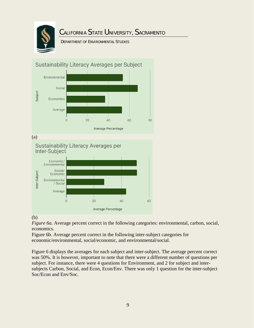

DEPARTMENT OF ENVIRONMENTAL STUDIES



## (b)

*Figure 6a.* Average percent correct in the following categories: environmental, carbon, social, economics.

Figure 6b. Average percent correct in the following inter-subject categories for economic/environmental, social/economic, and environmental/social.

Figure 6 displays the averages for each subject and inter-subject. The average percent correct was 50%. It is however, important to note that there were a different number of questions per subject. For instance, there were 4 questions for Environment, and 2 for subject and intersubjects Carbon, Social, and Econ, Econ/Env. There was only 1 question for the inter-subject Soc/Econ and Env/Soc.